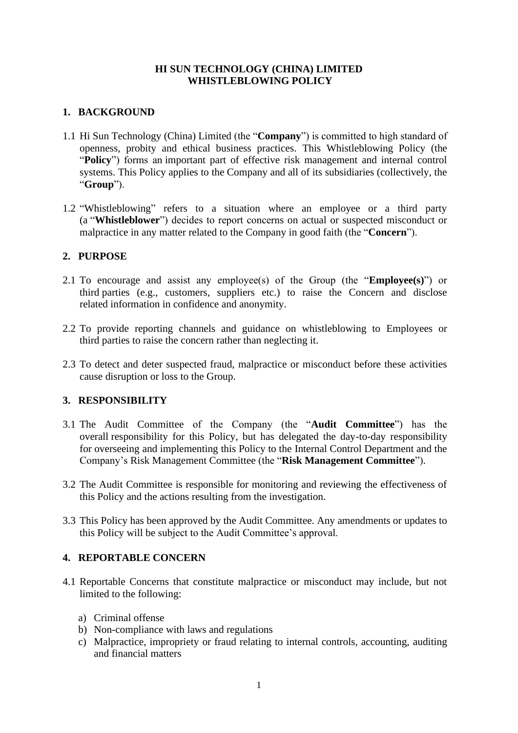### **HI SUN TECHNOLOGY (CHINA) LIMITED WHISTLEBLOWING POLICY**

## **1. BACKGROUND**

- 1.1 Hi Sun Technology (China) Limited (the "**Company**") is committed to high standard of openness, probity and ethical business practices. This Whistleblowing Policy (the "**Policy**") forms an important part of effective risk management and internal control systems. This Policy applies to the Company and all of its subsidiaries (collectively, the "**Group**").
- 1.2 "Whistleblowing" refers to a situation where an employee or a third party (a "**Whistleblower**") decides to report concerns on actual or suspected misconduct or malpractice in any matter related to the Company in good faith (the "**Concern**").

### **2. PURPOSE**

- 2.1 To encourage and assist any employee(s) of the Group (the "**Employee(s)**") or third parties (e.g., customers, suppliers etc.) to raise the Concern and disclose related information in confidence and anonymity.
- 2.2 To provide reporting channels and guidance on whistleblowing to Employees or third parties to raise the concern rather than neglecting it.
- 2.3 To detect and deter suspected fraud, malpractice or misconduct before these activities cause disruption or loss to the Group.

#### **3. RESPONSIBILITY**

- 3.1 The Audit Committee of the Company (the "**Audit Committee**") has the overall responsibility for this Policy, but has delegated the day-to-day responsibility for overseeing and implementing this Policy to the Internal Control Department and the Company's Risk Management Committee (the "**Risk Management Committee**").
- 3.2 The Audit Committee is responsible for monitoring and reviewing the effectiveness of this Policy and the actions resulting from the investigation.
- 3.3 This Policy has been approved by the Audit Committee. Any amendments or updates to this Policy will be subject to the Audit Committee's approval.

# **4. REPORTABLE CONCERN**

- 4.1 Reportable Concerns that constitute malpractice or misconduct may include, but not limited to the following:
	- a) Criminal offense
	- b) Non-compliance with laws and regulations
	- c) Malpractice, impropriety or fraud relating to internal controls, accounting, auditing and financial matters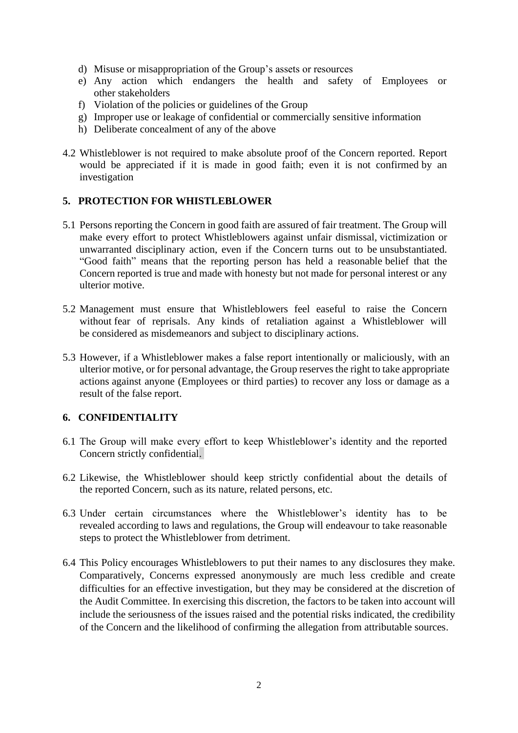- d) Misuse or misappropriation of the Group's assets or resources
- e) Any action which endangers the health and safety of Employees or other stakeholders
- f) Violation of the policies or guidelines of the Group
- g) Improper use or leakage of confidential or commercially sensitive information
- h) Deliberate concealment of any of the above
- 4.2 Whistleblower is not required to make absolute proof of the Concern reported. Report would be appreciated if it is made in good faith; even it is not confirmed by an investigation

#### **5. PROTECTION FOR WHISTLEBLOWER**

- 5.1 Persons reporting the Concern in good faith are assured of fair treatment. The Group will make every effort to protect Whistleblowers against unfair dismissal, victimization or unwarranted disciplinary action, even if the Concern turns out to be unsubstantiated. "Good faith" means that the reporting person has held a reasonable belief that the Concern reported is true and made with honesty but not made for personal interest or any ulterior motive.
- 5.2 Management must ensure that Whistleblowers feel easeful to raise the Concern without fear of reprisals. Any kinds of retaliation against a Whistleblower will be considered as misdemeanors and subject to disciplinary actions.
- 5.3 However, if a Whistleblower makes a false report intentionally or maliciously, with an ulterior motive, or for personal advantage, the Group reserves the right to take appropriate actions against anyone (Employees or third parties) to recover any loss or damage as a result of the false report.

#### **6. CONFIDENTIALITY**

- 6.1 The Group will make every effort to keep Whistleblower's identity and the reported Concern strictly confidential.
- 6.2 Likewise, the Whistleblower should keep strictly confidential about the details of the reported Concern, such as its nature, related persons, etc.
- 6.3 Under certain circumstances where the Whistleblower's identity has to be revealed according to laws and regulations, the Group will endeavour to take reasonable steps to protect the Whistleblower from detriment.
- 6.4 This Policy encourages Whistleblowers to put their names to any disclosures they make. Comparatively, Concerns expressed anonymously are much less credible and create difficulties for an effective investigation, but they may be considered at the discretion of the Audit Committee. In exercising this discretion, the factors to be taken into account will include the seriousness of the issues raised and the potential risks indicated, the credibility of the Concern and the likelihood of confirming the allegation from attributable sources.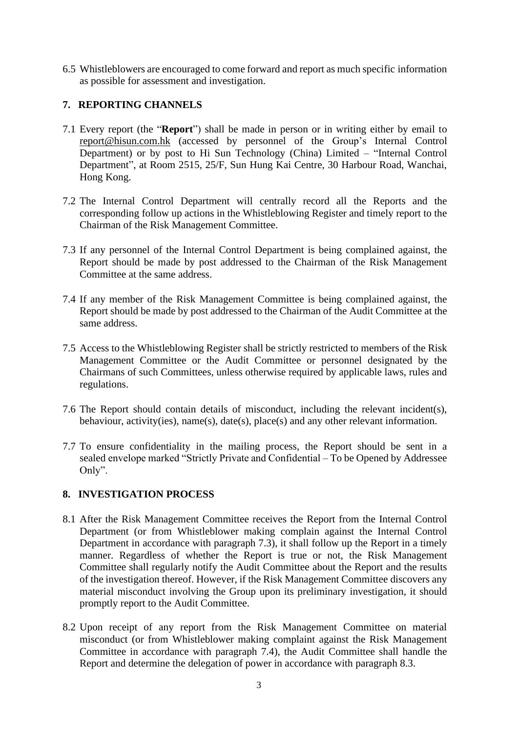6.5 Whistleblowers are encouraged to come forward and report as much specific information as possible for assessment and investigation.

# **7. REPORTING CHANNELS**

- 7.1 Every report (the "**Report**") shall be made in person or in writing either by email to report@hisun.com.hk (accessed by personnel of the Group's Internal Control Department) or by post to Hi Sun Technology (China) Limited – "Internal Control Department", at Room 2515, 25/F, Sun Hung Kai Centre, 30 Harbour Road, Wanchai, Hong Kong.
- 7.2 The Internal Control Department will centrally record all the Reports and the corresponding follow up actions in the Whistleblowing Register and timely report to the Chairman of the Risk Management Committee.
- 7.3 If any personnel of the Internal Control Department is being complained against, the Report should be made by post addressed to the Chairman of the Risk Management Committee at the same address.
- 7.4 If any member of the Risk Management Committee is being complained against, the Report should be made by post addressed to the Chairman of the Audit Committee at the same address.
- 7.5 Access to the Whistleblowing Register shall be strictly restricted to members of the Risk Management Committee or the Audit Committee or personnel designated by the Chairmans of such Committees, unless otherwise required by applicable laws, rules and regulations.
- 7.6 The Report should contain details of misconduct, including the relevant incident(s), behaviour, activity(ies), name(s), date(s), place(s) and any other relevant information.
- 7.7 To ensure confidentiality in the mailing process, the Report should be sent in a sealed envelope marked "Strictly Private and Confidential – To be Opened by Addressee Only".

# **8. INVESTIGATION PROCESS**

- 8.1 After the Risk Management Committee receives the Report from the Internal Control Department (or from Whistleblower making complain against the Internal Control Department in accordance with paragraph 7.3), it shall follow up the Report in a timely manner. Regardless of whether the Report is true or not, the Risk Management Committee shall regularly notify the Audit Committee about the Report and the results of the investigation thereof. However, if the Risk Management Committee discovers any material misconduct involving the Group upon its preliminary investigation, it should promptly report to the Audit Committee.
- 8.2 Upon receipt of any report from the Risk Management Committee on material misconduct (or from Whistleblower making complaint against the Risk Management Committee in accordance with paragraph 7.4), the Audit Committee shall handle the Report and determine the delegation of power in accordance with paragraph 8.3.